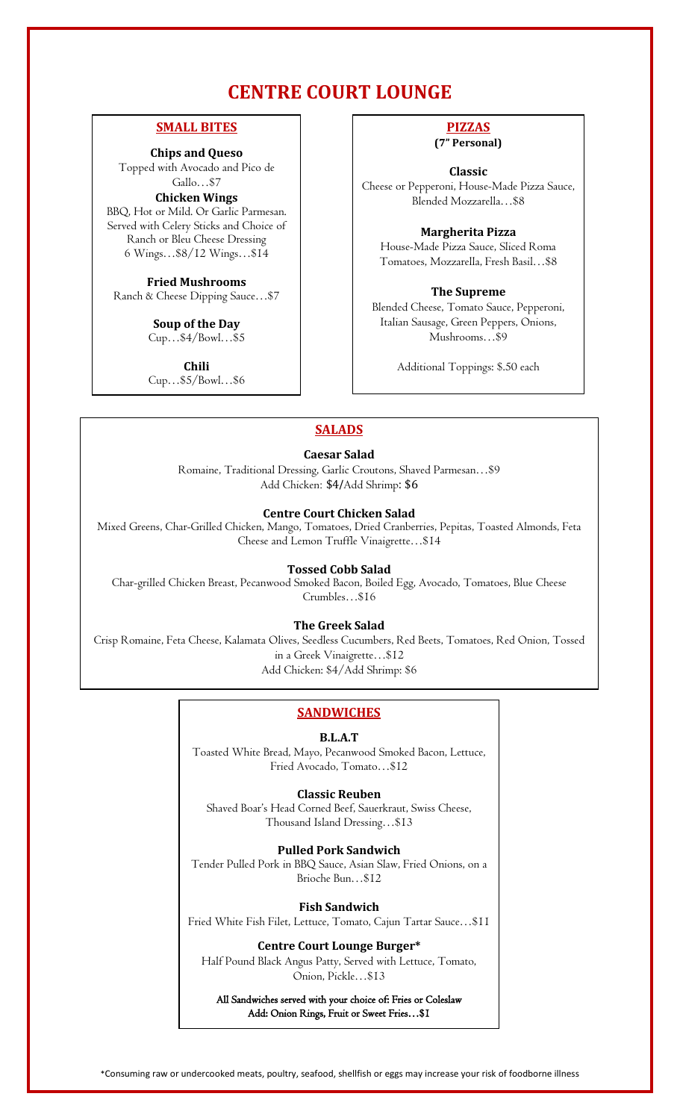## **CENTRE COURT LOUNGE**

### **SMALL BITES**

**Chips and Queso** Topped with Avocado and Pico de Gallo…\$7

**Chicken Wings** BBQ, Hot or Mild. Or Garlic Parmesan. Served with Celery Sticks and Choice of Ranch or Bleu Cheese Dressing 6 Wings…\$8/12 Wings…\$14

**Fried Mushrooms** Ranch & Cheese Dipping Sauce…\$7

> **Soup of the Day** Cup…\$4/Bowl…\$5

> **Chili** Cup…\$5/Bowl…\$6

**PIZZAS**

**(7" Personal)**

**Classic** Cheese or Pepperoni, House-Made Pizza Sauce, Blended Mozzarella…\$8

**Margherita Pizza** House-Made Pizza Sauce, Sliced Roma Tomatoes, Mozzarella, Fresh Basil…\$8

**The Supreme**

Blended Cheese, Tomato Sauce, Pepperoni, Italian Sausage, Green Peppers, Onions, Mushrooms…\$9

Additional Toppings: \$.50 each

### **SALADS**

**Caesar Salad**

Romaine, Traditional Dressing, Garlic Croutons, Shaved Parmesan…\$9 Add Chicken: \$4/Add Shrimp: \$6

#### **Centre Court Chicken Salad**

Mixed Greens, Char-Grilled Chicken, Mango, Tomatoes, Dried Cranberries, Pepitas, Toasted Almonds, Feta Cheese and Lemon Truffle Vinaigrette…\$14

**Tossed Cobb Salad**

Char-grilled Chicken Breast, Pecanwood Smoked Bacon, Boiled Egg, Avocado, Tomatoes, Blue Cheese Crumbles…\$16

#### **The Greek Salad**

Crisp Romaine, Feta Cheese, Kalamata Olives, Seedless Cucumbers, Red Beets, Tomatoes, Red Onion, Tossed in a Greek Vinaigrette…\$12 Add Chicken: \$4/Add Shrimp: \$6

### **SANDWICHES**

**B.L.A.T**

Toasted White Bread, Mayo, Pecanwood Smoked Bacon, Lettuce, Fried Avocado, Tomato…\$12

**Classic Reuben** Shaved Boar's Head Corned Beef, Sauerkraut, Swiss Cheese, Thousand Island Dressing…\$13

**Pulled Pork Sandwich** Tender Pulled Pork in BBQ Sauce, Asian Slaw, Fried Onions, on a Brioche Bun…\$12

**Fish Sandwich** Fried White Fish Filet, Lettuce, Tomato, Cajun Tartar Sauce…\$11

**Centre Court Lounge Burger\*** Half Pound Black Angus Patty, Served with Lettuce, Tomato, Onion, Pickle…\$13

All Sandwiches served with your choice of: Fries or Coleslaw Add: Onion Rings, Fruit or Sweet Fries…\$1